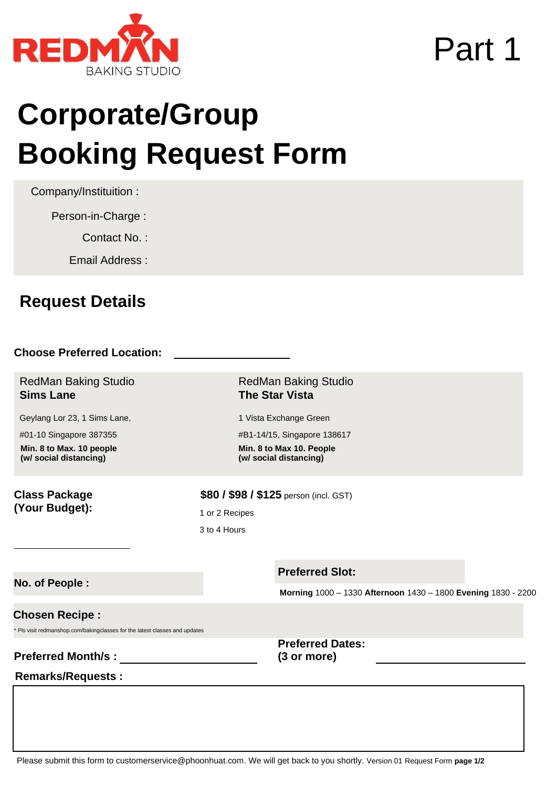

## Part 1

# **Corporate/ Group Booking Request Form**

Company/ Institution :

Company Address :

Contact Person :

Contact Number :

Email Address :

## **Choose Preferred Location:**

RedMan Baking Studio **Sims Lane** 

RedMan Baking Studio **The Star Vista** 

Geylang Lor 23, 1 Sims Lane, #01-10, Singapore 387355 **Min. 8 to Max. 10 people (With Safe Distancing Measures)**

1 Vista Exchange Green #B1-14/15, Singapore 138617 **Min. 8 to Max. 10 People (With Safe Distancing Measures)**

RedMan Baking Studio **Downtown East**

1 Pasir Ris Close

#01-101, Singapore 519599 **Min. 7 to Max. 7 People (With Safe Distancing Measures)**

**\$15 / \$48** /pax (incl. GST)

RedMan Baking Studio **Online Baking Class**

Online Demo **Min. 30 to Max. 50** Online Hands On **Min. 15 to Max. 30**

## **Class Package (Your Budget):**

**\$80 / \$98 / \$125** /pax (incl. GST)

In Studio , 1 or 2 Recipes

3 to 4 Hours

### **Preferred Time: No. Of Participants:**

**Morning** 10:00 am – 1:30 pm **Afternoon** 02:15 pm – 05:45 pm **Evening** 06:30 pm - 10:00 pm

## **Preferred Recipe :**

\* Pls visit redmanshop.com/bakingclasses for the list of recipes

**Preferred Dates** (3OHVBURYLGBIor more) :

## **Remarks/Requests:**

 Online Demo or Hands On , 1 or 2 Recipes 1 Hour or 3 to 4 Hours